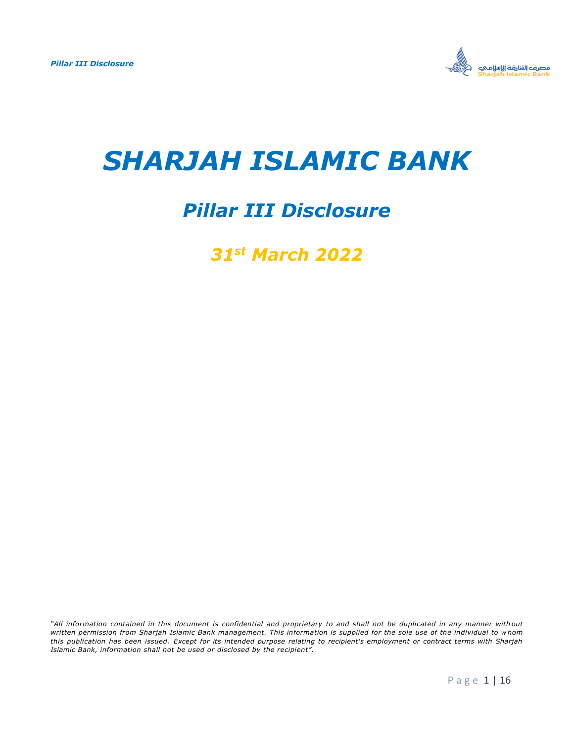

# *SHARJAH ISLAMIC BANK*

## *Pillar III Disclosure*

*31st March 2022*

*"All information contained in this document is confidential and proprietary to and shall not be duplicated in any manner with out written permission from Sharjah Islamic Bank management. This information is supplied for the sole use of the individual to w hom this publication has been issued. Except for its intended purpose relating to recipient's employment or contract terms with Sharjah Islamic Bank, information shall not be used or disclosed by the recipient".*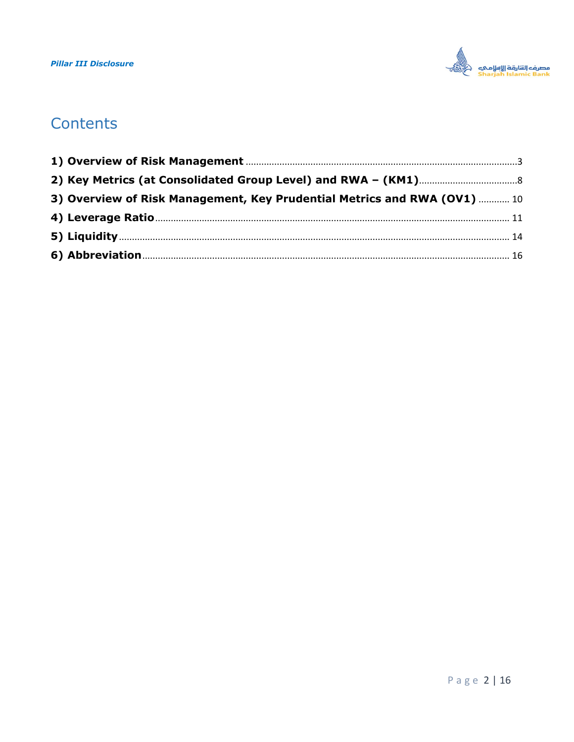

## Contents

| 3) Overview of Risk Management, Key Prudential Metrics and RWA (OV1)  10 |  |
|--------------------------------------------------------------------------|--|
|                                                                          |  |
|                                                                          |  |
|                                                                          |  |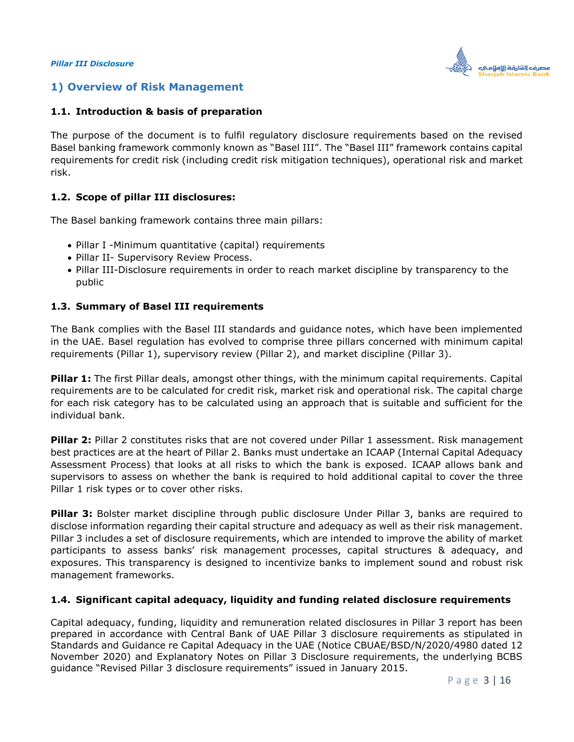

## <span id="page-2-0"></span>**1) Overview of Risk Management**

#### **1.1. Introduction & basis of preparation**

The purpose of the document is to fulfil regulatory disclosure requirements based on the revised Basel banking framework commonly known as "Basel III". The "Basel III" framework contains capital requirements for credit risk (including credit risk mitigation techniques), operational risk and market risk.

#### **1.2. Scope of pillar III disclosures:**

The Basel banking framework contains three main pillars:

- Pillar I -Minimum quantitative (capital) requirements
- Pillar II- Supervisory Review Process.
- Pillar III-Disclosure requirements in order to reach market discipline by transparency to the public

#### **1.3. Summary of Basel III requirements**

The Bank complies with the Basel III standards and guidance notes, which have been implemented in the UAE. Basel regulation has evolved to comprise three pillars concerned with minimum capital requirements (Pillar 1), supervisory review (Pillar 2), and market discipline (Pillar 3).

**Pillar 1:** The first Pillar deals, amongst other things, with the minimum capital requirements. Capital requirements are to be calculated for credit risk, market risk and operational risk. The capital charge for each risk category has to be calculated using an approach that is suitable and sufficient for the individual bank.

**Pillar 2:** Pillar 2 constitutes risks that are not covered under Pillar 1 assessment. Risk management best practices are at the heart of Pillar 2. Banks must undertake an ICAAP (Internal Capital Adequacy Assessment Process) that looks at all risks to which the bank is exposed. ICAAP allows bank and supervisors to assess on whether the bank is required to hold additional capital to cover the three Pillar 1 risk types or to cover other risks.

**Pillar 3:** Bolster market discipline through public disclosure Under Pillar 3, banks are required to disclose information regarding their capital structure and adequacy as well as their risk management. Pillar 3 includes a set of disclosure requirements, which are intended to improve the ability of market participants to assess banks' risk management processes, capital structures & adequacy, and exposures. This transparency is designed to incentivize banks to implement sound and robust risk management frameworks.

#### **1.4. Significant capital adequacy, liquidity and funding related disclosure requirements**

Capital adequacy, funding, liquidity and remuneration related disclosures in Pillar 3 report has been prepared in accordance with Central Bank of UAE Pillar 3 disclosure requirements as stipulated in Standards and Guidance re Capital Adequacy in the UAE (Notice CBUAE/BSD/N/2020/4980 dated 12 November 2020) and Explanatory Notes on Pillar 3 Disclosure requirements, the underlying BCBS guidance "Revised Pillar 3 disclosure requirements" issued in January 2015.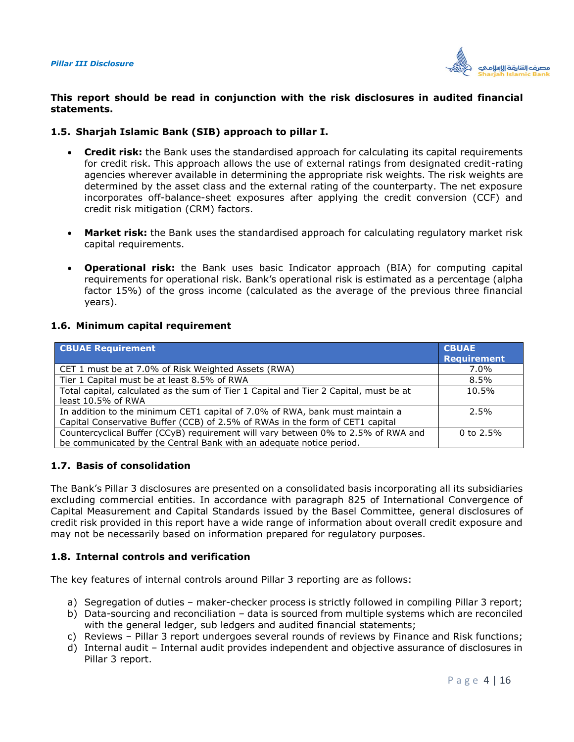

#### **This report should be read in conjunction with the risk disclosures in audited financial statements.**

#### **1.5. Sharjah Islamic Bank (SIB) approach to pillar I.**

- **Credit risk:** the Bank uses the standardised approach for calculating its capital requirements for credit risk. This approach allows the use of external ratings from designated credit-rating agencies wherever available in determining the appropriate risk weights. The risk weights are determined by the asset class and the external rating of the counterparty. The net exposure incorporates off-balance-sheet exposures after applying the credit conversion (CCF) and credit risk mitigation (CRM) factors.
- **Market risk:** the Bank uses the standardised approach for calculating regulatory market risk capital requirements.
- **Operational risk:** the Bank uses basic Indicator approach (BIA) for computing capital requirements for operational risk. Bank's operational risk is estimated as a percentage (alpha factor 15%) of the gross income (calculated as the average of the previous three financial years).

#### **1.6. Minimum capital requirement**

| <b>CBUAE Requirement</b>                                                                                                                                      | <b>CBUAE</b><br><b>Requirement</b> |
|---------------------------------------------------------------------------------------------------------------------------------------------------------------|------------------------------------|
| CET 1 must be at 7.0% of Risk Weighted Assets (RWA)                                                                                                           | 7.0%                               |
| Tier 1 Capital must be at least 8.5% of RWA                                                                                                                   | $8.5\%$                            |
| Total capital, calculated as the sum of Tier 1 Capital and Tier 2 Capital, must be at<br>least 10.5% of RWA                                                   | 10.5%                              |
| In addition to the minimum CET1 capital of 7.0% of RWA, bank must maintain a<br>Capital Conservative Buffer (CCB) of 2.5% of RWAs in the form of CET1 capital | 2.5%                               |
| Countercyclical Buffer (CCyB) requirement will vary between 0% to 2.5% of RWA and<br>be communicated by the Central Bank with an adequate notice period.      | 0 to $2.5\%$                       |

#### **1.7. Basis of consolidation**

The Bank's Pillar 3 disclosures are presented on a consolidated basis incorporating all its subsidiaries excluding commercial entities. In accordance with paragraph 825 of International Convergence of Capital Measurement and Capital Standards issued by the Basel Committee, general disclosures of credit risk provided in this report have a wide range of information about overall credit exposure and may not be necessarily based on information prepared for regulatory purposes.

#### **1.8. Internal controls and verification**

The key features of internal controls around Pillar 3 reporting are as follows:

- a) Segregation of duties maker-checker process is strictly followed in compiling Pillar 3 report;
- b) Data-sourcing and reconciliation data is sourced from multiple systems which are reconciled with the general ledger, sub ledgers and audited financial statements;
- c) Reviews Pillar 3 report undergoes several rounds of reviews by Finance and Risk functions;
- d) Internal audit Internal audit provides independent and objective assurance of disclosures in Pillar 3 report.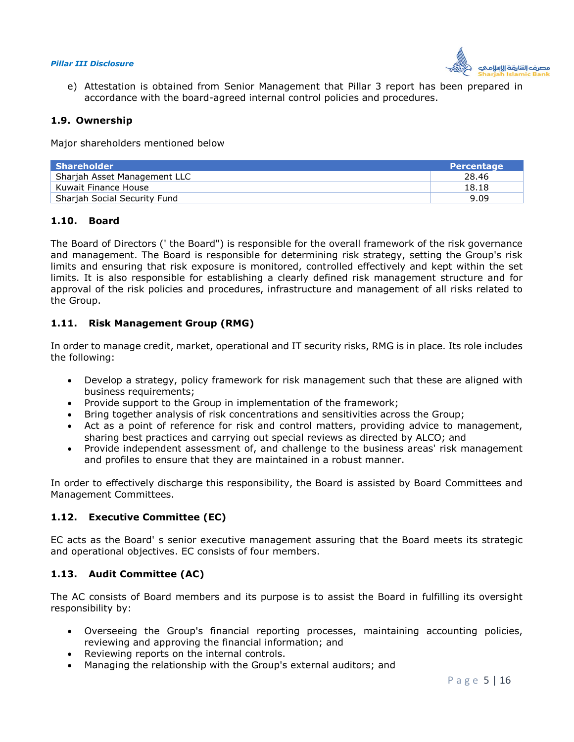

e) Attestation is obtained from Senior Management that Pillar 3 report has been prepared in accordance with the board-agreed internal control policies and procedures.

#### **1.9. Ownership**

Major shareholders mentioned below

| <b>Shareholder</b>                  | <b>Percentage</b> |
|-------------------------------------|-------------------|
| Sharjah Asset Management LLC        | 28.46             |
| Kuwait Finance House                | 18.18             |
| <b>Shariah Social Security Fund</b> | 9.09              |

#### **1.10. Board**

The Board of Directors (' the Board") is responsible for the overall framework of the risk governance and management. The Board is responsible for determining risk strategy, setting the Group's risk limits and ensuring that risk exposure is monitored, controlled effectively and kept within the set limits. It is also responsible for establishing a clearly defined risk management structure and for approval of the risk policies and procedures, infrastructure and management of all risks related to the Group.

#### **1.11. Risk Management Group (RMG)**

In order to manage credit, market, operational and IT security risks, RMG is in place. Its role includes the following:

- Develop a strategy, policy framework for risk management such that these are aligned with business requirements;
- Provide support to the Group in implementation of the framework;
- Bring together analysis of risk concentrations and sensitivities across the Group;
- Act as a point of reference for risk and control matters, providing advice to management, sharing best practices and carrying out special reviews as directed by ALCO; and
- Provide independent assessment of, and challenge to the business areas' risk management and profiles to ensure that they are maintained in a robust manner.

In order to effectively discharge this responsibility, the Board is assisted by Board Committees and Management Committees.

#### **1.12. Executive Committee (EC)**

EC acts as the Board' s senior executive management assuring that the Board meets its strategic and operational objectives. EC consists of four members.

#### **1.13. Audit Committee (AC)**

The AC consists of Board members and its purpose is to assist the Board in fulfilling its oversight responsibility by:

- Overseeing the Group's financial reporting processes, maintaining accounting policies, reviewing and approving the financial information; and
- Reviewing reports on the internal controls.
- Managing the relationship with the Group's external auditors; and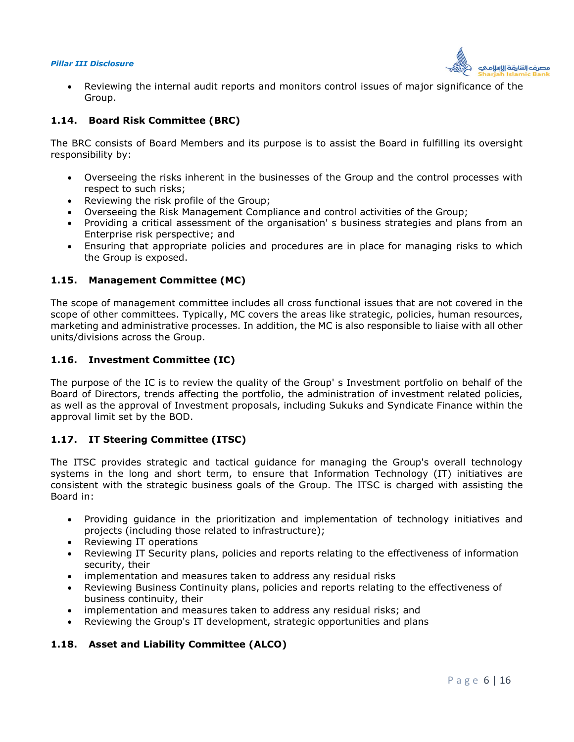

 Reviewing the internal audit reports and monitors control issues of major significance of the Group.

#### **1.14. Board Risk Committee (BRC)**

The BRC consists of Board Members and its purpose is to assist the Board in fulfilling its oversight responsibility by:

- Overseeing the risks inherent in the businesses of the Group and the control processes with respect to such risks;
- Reviewing the risk profile of the Group;
- Overseeing the Risk Management Compliance and control activities of the Group;
- Providing a critical assessment of the organisation' s business strategies and plans from an Enterprise risk perspective; and
- Ensuring that appropriate policies and procedures are in place for managing risks to which the Group is exposed.

#### **1.15. Management Committee (MC)**

The scope of management committee includes all cross functional issues that are not covered in the scope of other committees. Typically, MC covers the areas like strategic, policies, human resources, marketing and administrative processes. In addition, the MC is also responsible to liaise with all other units/divisions across the Group.

#### **1.16. Investment Committee (IC)**

The purpose of the IC is to review the quality of the Group' s Investment portfolio on behalf of the Board of Directors, trends affecting the portfolio, the administration of investment related policies, as well as the approval of Investment proposals, including Sukuks and Syndicate Finance within the approval limit set by the BOD.

#### **1.17. IT Steering Committee (ITSC)**

The ITSC provides strategic and tactical guidance for managing the Group's overall technology systems in the long and short term, to ensure that Information Technology (IT) initiatives are consistent with the strategic business goals of the Group. The ITSC is charged with assisting the Board in:

- Providing guidance in the prioritization and implementation of technology initiatives and projects (including those related to infrastructure);
- Reviewing IT operations
- Reviewing IT Security plans, policies and reports relating to the effectiveness of information security, their
- implementation and measures taken to address any residual risks
- Reviewing Business Continuity plans, policies and reports relating to the effectiveness of business continuity, their
- implementation and measures taken to address any residual risks; and
- Reviewing the Group's IT development, strategic opportunities and plans

## **1.18. Asset and Liability Committee (ALCO)**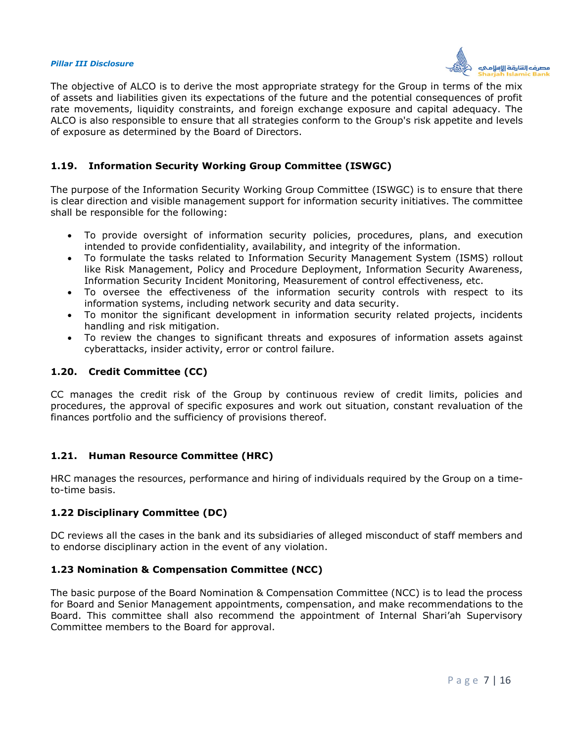

The objective of ALCO is to derive the most appropriate strategy for the Group in terms of the mix of assets and liabilities given its expectations of the future and the potential consequences of profit rate movements, liquidity constraints, and foreign exchange exposure and capital adequacy. The ALCO is also responsible to ensure that all strategies conform to the Group's risk appetite and levels of exposure as determined by the Board of Directors.

#### **1.19. Information Security Working Group Committee (ISWGC)**

The purpose of the Information Security Working Group Committee (ISWGC) is to ensure that there is clear direction and visible management support for information security initiatives. The committee shall be responsible for the following:

- To provide oversight of information security policies, procedures, plans, and execution intended to provide confidentiality, availability, and integrity of the information.
- To formulate the tasks related to Information Security Management System (ISMS) rollout like Risk Management, Policy and Procedure Deployment, Information Security Awareness, Information Security Incident Monitoring, Measurement of control effectiveness, etc.
- To oversee the effectiveness of the information security controls with respect to its information systems, including network security and data security.
- To monitor the significant development in information security related projects, incidents handling and risk mitigation.
- To review the changes to significant threats and exposures of information assets against cyberattacks, insider activity, error or control failure.

#### **1.20. Credit Committee (CC)**

CC manages the credit risk of the Group by continuous review of credit limits, policies and procedures, the approval of specific exposures and work out situation, constant revaluation of the finances portfolio and the sufficiency of provisions thereof.

## **1.21. Human Resource Committee (HRC)**

HRC manages the resources, performance and hiring of individuals required by the Group on a timeto-time basis.

## **1.22 Disciplinary Committee (DC)**

DC reviews all the cases in the bank and its subsidiaries of alleged misconduct of staff members and to endorse disciplinary action in the event of any violation.

#### **1.23 Nomination & Compensation Committee (NCC)**

The basic purpose of the Board Nomination & Compensation Committee (NCC) is to lead the process for Board and Senior Management appointments, compensation, and make recommendations to the Board. This committee shall also recommend the appointment of Internal Shari'ah Supervisory Committee members to the Board for approval.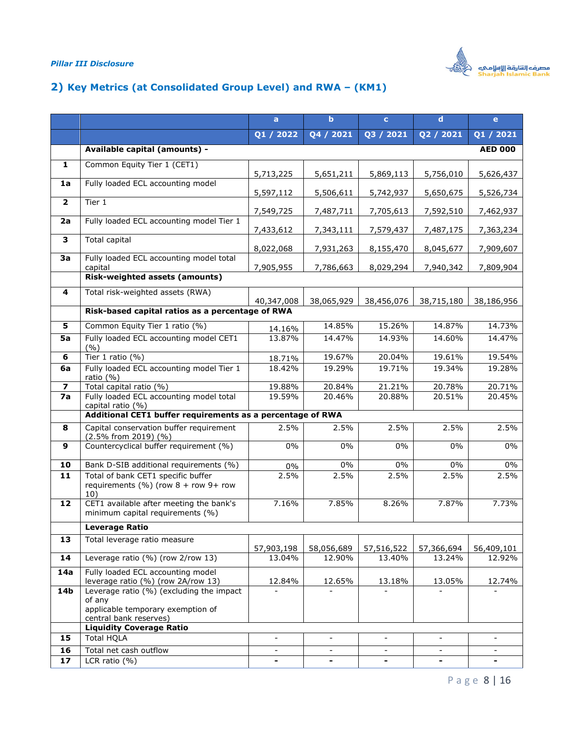

## <span id="page-7-0"></span>**2) Key Metrics (at Consolidated Group Level) and RWA – (KM1)**

|                         |                                                                                        | a                        | $\mathbf b$              | $\mathbf{c}$             | $\mathbf d$              | $\mathbf{e}$             |
|-------------------------|----------------------------------------------------------------------------------------|--------------------------|--------------------------|--------------------------|--------------------------|--------------------------|
|                         |                                                                                        | Q1 / 2022                | Q4 / 2021                | Q3 / 2021                | Q2 / 2021                | Q1 / 2021                |
|                         | Available capital (amounts) -                                                          |                          |                          |                          |                          | <b>AED 000</b>           |
| 1                       | Common Equity Tier 1 (CET1)                                                            |                          |                          |                          |                          |                          |
| 1a                      | Fully loaded ECL accounting model                                                      | 5,713,225                | 5,651,211                | 5,869,113                | 5,756,010                | 5,626,437                |
|                         |                                                                                        | 5,597,112                | 5,506,611                | 5,742,937                | 5,650,675                | 5,526,734                |
| $\overline{2}$          | Tier 1                                                                                 | 7,549,725                | 7,487,711                | 7,705,613                | 7,592,510                | 7,462,937                |
| 2a                      | Fully loaded ECL accounting model Tier 1                                               | 7,433,612                | 7,343,111                | 7,579,437                | 7,487,175                | 7,363,234                |
| 3                       | Total capital                                                                          | 8,022,068                | 7,931,263                | 8,155,470                | 8,045,677                | 7,909,607                |
| 3a                      | Fully loaded ECL accounting model total<br>capital                                     | 7,905,955                | 7,786,663                | 8,029,294                | 7,940,342                | 7,809,904                |
|                         | <b>Risk-weighted assets (amounts)</b>                                                  |                          |                          |                          |                          |                          |
| 4                       | Total risk-weighted assets (RWA)                                                       | 40,347,008               | 38,065,929               | 38,456,076               | 38,715,180               | 38,186,956               |
|                         | Risk-based capital ratios as a percentage of RWA                                       |                          |                          |                          |                          |                          |
| 5                       | Common Equity Tier 1 ratio (%)                                                         | 14.16%                   | 14.85%                   | 15.26%                   | 14.87%                   | 14.73%                   |
| 5a                      | Fully loaded ECL accounting model CET1<br>(9/6)                                        | 13.87%                   | 14.47%                   | 14.93%                   | 14.60%                   | 14.47%                   |
| 6                       | Tier 1 ratio $(%)$                                                                     | 18.71%                   | 19.67%                   | 20.04%                   | 19.61%                   | 19.54%                   |
| 6a                      | Fully loaded ECL accounting model Tier 1<br>ratio (%)                                  | 18.42%                   | 19.29%                   | 19.71%                   | 19.34%                   | 19.28%                   |
| $\overline{\mathbf{z}}$ | Total capital ratio (%)<br>Fully loaded ECL accounting model total                     | 19.88%                   | 20.84%<br>20.46%         | 21.21%<br>20.88%         | 20.78%<br>20.51%         | 20.71%<br>20.45%         |
| 7a                      | capital ratio (%)                                                                      | 19.59%                   |                          |                          |                          |                          |
|                         | Additional CET1 buffer requirements as a percentage of RWA                             |                          |                          |                          |                          |                          |
| 8                       | Capital conservation buffer requirement<br>(2.5% from 2019) (%)                        | 2.5%                     | 2.5%                     | 2.5%                     | 2.5%                     | 2.5%                     |
| 9                       | Countercyclical buffer requirement (%)                                                 | $0\%$                    | $0\%$                    | 0%                       | $0\%$                    | 0%                       |
| 10                      | Bank D-SIB additional requirements (%)                                                 | $0\%$                    | $0\%$                    | 0%                       | $0\%$                    | $0\%$                    |
| 11                      | Total of bank CET1 specific buffer<br>requirements (%) (row $8 +$ row $9 +$ row<br>10) | 2.5%                     | 2.5%                     | 2.5%                     | 2.5%                     | 2.5%                     |
| 12                      | CET1 available after meeting the bank's<br>minimum capital requirements (%)            | 7.16%                    | 7.85%                    | 8.26%                    | 7.87%                    | 7.73%                    |
|                         | <b>Leverage Ratio</b>                                                                  |                          |                          |                          |                          |                          |
| 13                      | Total leverage ratio measure                                                           | 57,903,198               | 58,056,689               | 57,516,522               | 57,366,694               | 56,409,101               |
| 14                      | Leverage ratio (%) (row 2/row 13)                                                      | 13.04%                   | 12.90%                   | 13.40%                   | 13.24%                   | 12.92%                   |
| 14a                     | Fully loaded ECL accounting model<br>leverage ratio (%) (row 2A/row 13)                | 12.84%                   | 12.65%                   | 13.18%                   | 13.05%                   | 12.74%                   |
| 14b                     | Leverage ratio (%) (excluding the impact                                               |                          |                          |                          |                          |                          |
|                         | of any<br>applicable temporary exemption of<br>central bank reserves)                  |                          |                          |                          |                          |                          |
|                         | <b>Liquidity Coverage Ratio</b>                                                        |                          |                          |                          |                          |                          |
| 15                      | <b>Total HQLA</b>                                                                      | $\blacksquare$           | $\overline{\phantom{a}}$ | $\overline{\phantom{a}}$ | $\overline{\phantom{a}}$ | $\overline{\phantom{a}}$ |
| 16                      | Total net cash outflow                                                                 | $\overline{\phantom{a}}$ | $\overline{\phantom{a}}$ | $\blacksquare$           | $\blacksquare$           | $\overline{\phantom{a}}$ |
| 17                      | LCR ratio $(% )$                                                                       | $\blacksquare$           | -                        | -                        | $\overline{\phantom{a}}$ | $\overline{\phantom{a}}$ |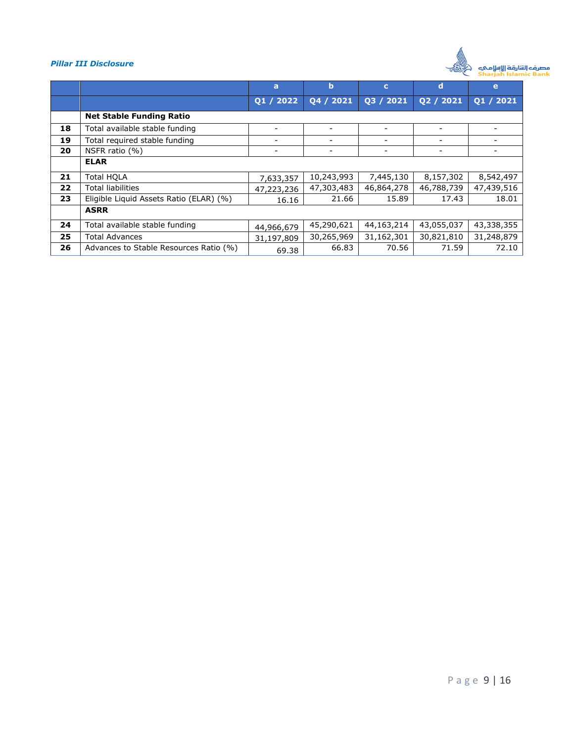

|    |                                         | a          | b                        | c                        | d          | e                        |
|----|-----------------------------------------|------------|--------------------------|--------------------------|------------|--------------------------|
|    |                                         | 01 / 2022  | 04 / 2021                | 03 / 2021                | Q2 / 2021  | $\overline{Q1/2021}$     |
|    | <b>Net Stable Funding Ratio</b>         |            |                          |                          |            |                          |
| 18 | Total available stable funding          |            | ۰                        |                          |            |                          |
| 19 | Total required stable funding           |            | -                        | $\overline{\phantom{0}}$ |            | -                        |
| 20 | NSFR ratio (%)                          |            | $\overline{\phantom{a}}$ |                          |            | $\overline{\phantom{m}}$ |
|    | <b>ELAR</b>                             |            |                          |                          |            |                          |
| 21 | Total HOLA                              | 7,633,357  | 10,243,993               | 7,445,130                | 8,157,302  | 8,542,497                |
| 22 | <b>Total liabilities</b>                | 47,223,236 | 47,303,483               | 46,864,278               | 46,788,739 | 47,439,516               |
| 23 | Eligible Liquid Assets Ratio (ELAR) (%) | 16.16      | 21.66                    | 15.89                    | 17.43      | 18.01                    |
|    | <b>ASRR</b>                             |            |                          |                          |            |                          |
| 24 | Total available stable funding          | 44,966,679 | 45,290,621               | 44,163,214               | 43,055,037 | 43,338,355               |
| 25 | Total Advances                          | 31,197,809 | 30,265,969               | 31,162,301               | 30,821,810 | 31,248,879               |
| 26 | Advances to Stable Resources Ratio (%)  | 69.38      | 66.83                    | 70.56                    | 71.59      | 72.10                    |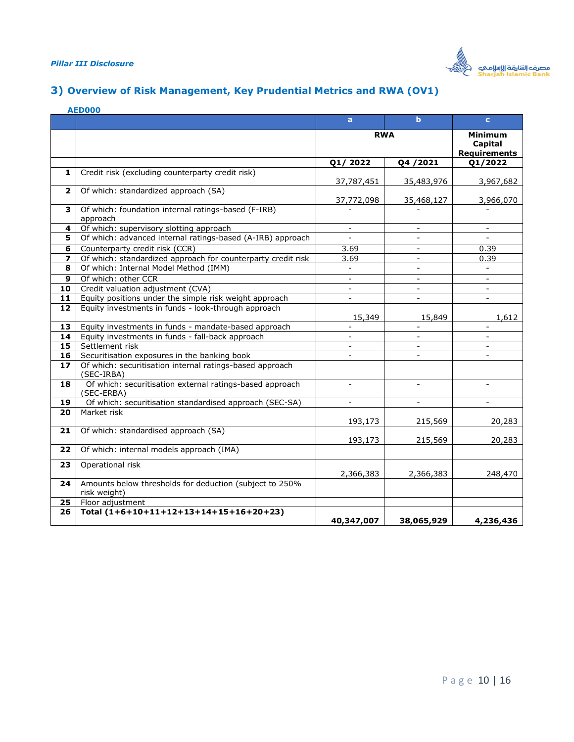

## <span id="page-9-0"></span>**3) Overview of Risk Management, Key Prudential Metrics and RWA (OV1)**

|                         | <b>AED000</b>                                                           |                          |                          |                                                  |
|-------------------------|-------------------------------------------------------------------------|--------------------------|--------------------------|--------------------------------------------------|
|                         |                                                                         | a                        | $\mathbf b$              | $\mathbf{c}$                                     |
|                         |                                                                         | <b>RWA</b>               |                          | <b>Minimum</b><br>Capital<br><b>Requirements</b> |
|                         |                                                                         | Q1/2022                  | Q4 / 2021                | Q1/2022                                          |
| 1                       | Credit risk (excluding counterparty credit risk)                        | 37,787,451               | 35,483,976               | 3,967,682                                        |
| $\overline{\mathbf{2}}$ | Of which: standardized approach (SA)                                    | 37,772,098               | 35,468,127               | 3,966,070                                        |
| 3                       | Of which: foundation internal ratings-based (F-IRB)<br>approach         |                          |                          |                                                  |
| 4                       | Of which: supervisory slotting approach                                 | $\overline{\phantom{a}}$ | $\blacksquare$           | $\blacksquare$                                   |
| 5                       | Of which: advanced internal ratings-based (A-IRB) approach              |                          |                          |                                                  |
| 6                       | Counterparty credit risk (CCR)                                          | 3.69                     | $\overline{\phantom{a}}$ | 0.39                                             |
| 7                       | Of which: standardized approach for counterparty credit risk            | 3.69                     | $\sim$                   | 0.39                                             |
| 8                       | Of which: Internal Model Method (IMM)                                   |                          | $\sim$                   |                                                  |
| 9                       | Of which: other CCR                                                     | $\overline{a}$           | $\blacksquare$           | $\blacksquare$                                   |
| 10                      | Credit valuation adjustment (CVA)                                       | $\overline{\phantom{a}}$ | $\blacksquare$           | $\blacksquare$                                   |
| 11                      | Equity positions under the simple risk weight approach                  | $\overline{\phantom{a}}$ | $\blacksquare$           | $\overline{\phantom{a}}$                         |
| 12                      | Equity investments in funds - look-through approach                     | 15,349                   | 15,849                   | 1,612                                            |
| 13                      | Equity investments in funds - mandate-based approach                    | $\overline{\phantom{a}}$ | $\overline{\phantom{a}}$ | $\overline{\phantom{a}}$                         |
| 14                      | Equity investments in funds - fall-back approach                        | $\sim$                   | $\sim$                   | $\sim$                                           |
| 15                      | Settlement risk                                                         | $\overline{\phantom{a}}$ | $\blacksquare$           | $\overline{\phantom{a}}$                         |
| 16                      | Securitisation exposures in the banking book                            | $\blacksquare$           | $\blacksquare$           | $\blacksquare$                                   |
| 17                      | Of which: securitisation internal ratings-based approach<br>(SEC-IRBA)  |                          |                          |                                                  |
| 18                      | Of which: securitisation external ratings-based approach<br>(SEC-ERBA)  | $\blacksquare$           | $\blacksquare$           | $\blacksquare$                                   |
| 19                      | Of which: securitisation standardised approach (SEC-SA)                 |                          |                          |                                                  |
| 20                      | Market risk                                                             | 193,173                  | 215,569                  | 20,283                                           |
| 21                      | Of which: standardised approach (SA)                                    | 193,173                  | 215,569                  | 20,283                                           |
| 22                      | Of which: internal models approach (IMA)                                |                          |                          |                                                  |
| 23                      | Operational risk                                                        | 2,366,383                | 2,366,383                | 248,470                                          |
| 24                      | Amounts below thresholds for deduction (subject to 250%<br>risk weight) |                          |                          |                                                  |
| 25                      | Floor adjustment                                                        |                          |                          |                                                  |
| 26                      | Total (1+6+10+11+12+13+14+15+16+20+23)                                  | 40,347,007               | 38,065,929               | 4,236,436                                        |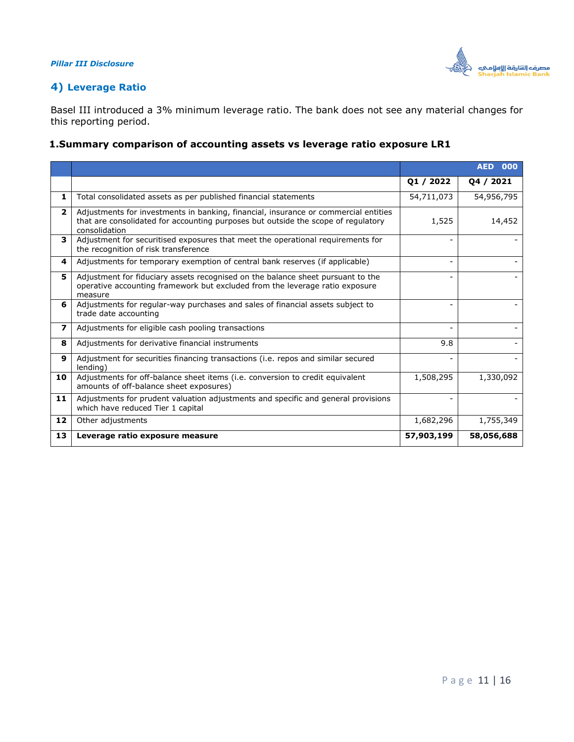

## <span id="page-10-0"></span>**4) Leverage Ratio**

Basel III introduced a 3% minimum leverage ratio. The bank does not see any material changes for this reporting period.

#### **1.Summary comparison of accounting assets vs leverage ratio exposure LR1**

|                          |                                                                                                                                                                                           |                          | <b>AED 000</b> |
|--------------------------|-------------------------------------------------------------------------------------------------------------------------------------------------------------------------------------------|--------------------------|----------------|
|                          |                                                                                                                                                                                           | 01 / 2022                | 04 / 2021      |
| 1                        | Total consolidated assets as per published financial statements                                                                                                                           | 54,711,073               | 54,956,795     |
| $\overline{2}$           | Adjustments for investments in banking, financial, insurance or commercial entities<br>that are consolidated for accounting purposes but outside the scope of regulatory<br>consolidation | 1,525                    | 14,452         |
| 3                        | Adjustment for securitised exposures that meet the operational requirements for<br>the recognition of risk transference                                                                   |                          |                |
| 4                        | Adjustments for temporary exemption of central bank reserves (if applicable)                                                                                                              | $\overline{\phantom{0}}$ |                |
| 5.                       | Adjustment for fiduciary assets recognised on the balance sheet pursuant to the<br>operative accounting framework but excluded from the leverage ratio exposure<br>measure                |                          |                |
| 6                        | Adjustments for regular-way purchases and sales of financial assets subject to<br>trade date accounting                                                                                   |                          |                |
| $\overline{\phantom{a}}$ | Adjustments for eligible cash pooling transactions                                                                                                                                        |                          |                |
| 8                        | Adjustments for derivative financial instruments                                                                                                                                          | 9.8                      |                |
| 9                        | Adjustment for securities financing transactions (i.e. repos and similar secured<br>lending)                                                                                              |                          |                |
| 10                       | Adjustments for off-balance sheet items (i.e. conversion to credit equivalent<br>amounts of off-balance sheet exposures)                                                                  | 1,508,295                | 1,330,092      |
| 11                       | Adjustments for prudent valuation adjustments and specific and general provisions<br>which have reduced Tier 1 capital                                                                    |                          |                |
| 12                       | Other adjustments                                                                                                                                                                         | 1,682,296                | 1,755,349      |
| 13                       | Leverage ratio exposure measure                                                                                                                                                           | 57,903,199               | 58,056,688     |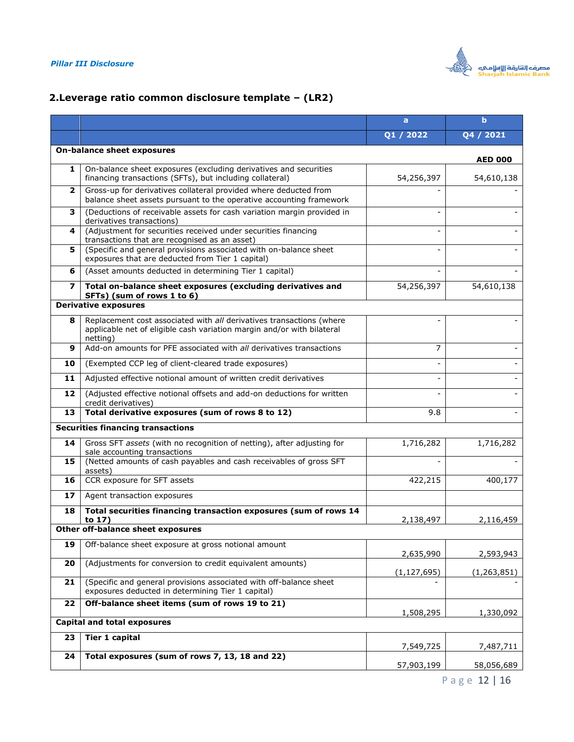

## **2.Leverage ratio common disclosure template – (LR2)**

|                          |                                                                                                                                                            | a             | b              |
|--------------------------|------------------------------------------------------------------------------------------------------------------------------------------------------------|---------------|----------------|
|                          |                                                                                                                                                            | Q1 / 2022     | Q4 / 2021      |
|                          | <b>On-balance sheet exposures</b>                                                                                                                          |               | <b>AED 000</b> |
| 1                        | On-balance sheet exposures (excluding derivatives and securities<br>financing transactions (SFTs), but including collateral)                               | 54,256,397    | 54,610,138     |
| $\mathbf{2}$             | Gross-up for derivatives collateral provided where deducted from<br>balance sheet assets pursuant to the operative accounting framework                    |               |                |
| з                        | (Deductions of receivable assets for cash variation margin provided in<br>derivatives transactions)                                                        |               |                |
| 4                        | (Adjustment for securities received under securities financing<br>transactions that are recognised as an asset)                                            |               |                |
| 5                        | (Specific and general provisions associated with on-balance sheet<br>exposures that are deducted from Tier 1 capital)                                      |               |                |
| 6                        | (Asset amounts deducted in determining Tier 1 capital)                                                                                                     |               |                |
| $\overline{\phantom{a}}$ | Total on-balance sheet exposures (excluding derivatives and<br>SFTs) (sum of rows 1 to 6)                                                                  | 54,256,397    | 54,610,138     |
|                          | <b>Derivative exposures</b>                                                                                                                                |               |                |
| 8                        | Replacement cost associated with all derivatives transactions (where<br>applicable net of eligible cash variation margin and/or with bilateral<br>netting) |               |                |
| 9                        | Add-on amounts for PFE associated with all derivatives transactions                                                                                        | 7             |                |
| 10                       | (Exempted CCP leg of client-cleared trade exposures)                                                                                                       |               |                |
| 11                       | Adjusted effective notional amount of written credit derivatives                                                                                           |               |                |
| 12                       | (Adjusted effective notional offsets and add-on deductions for written<br>credit derivatives)                                                              |               |                |
| 13                       | Total derivative exposures (sum of rows 8 to 12)                                                                                                           | 9.8           |                |
|                          | <b>Securities financing transactions</b>                                                                                                                   |               |                |
| 14                       | Gross SFT assets (with no recognition of netting), after adjusting for<br>sale accounting transactions                                                     | 1,716,282     | 1,716,282      |
| 15                       | (Netted amounts of cash payables and cash receivables of gross SFT<br>assets)                                                                              |               |                |
| 16                       | CCR exposure for SFT assets                                                                                                                                | 422,215       | 400,177        |
| 17                       | Agent transaction exposures                                                                                                                                |               |                |
| 18                       | Total securities financing transaction exposures (sum of rows 14<br>to 17)                                                                                 | 2,138,497     | 2,116,459      |
|                          | Other off-balance sheet exposures                                                                                                                          |               |                |
| 19                       | Off-balance sheet exposure at gross notional amount                                                                                                        | 2,635,990     | 2,593,943      |
| 20                       | (Adjustments for conversion to credit equivalent amounts)                                                                                                  | (1, 127, 695) | (1,263,851)    |
| 21                       | (Specific and general provisions associated with off-balance sheet<br>exposures deducted in determining Tier 1 capital)                                    |               |                |
| 22                       | Off-balance sheet items (sum of rows 19 to 21)                                                                                                             | 1,508,295     | 1,330,092      |
|                          | <b>Capital and total exposures</b>                                                                                                                         |               |                |
| 23                       | <b>Tier 1 capital</b>                                                                                                                                      | 7,549,725     | 7,487,711      |
| 24                       | Total exposures (sum of rows 7, 13, 18 and 22)                                                                                                             | 57,903,199    | 58,056,689     |

P a g e 12 | 16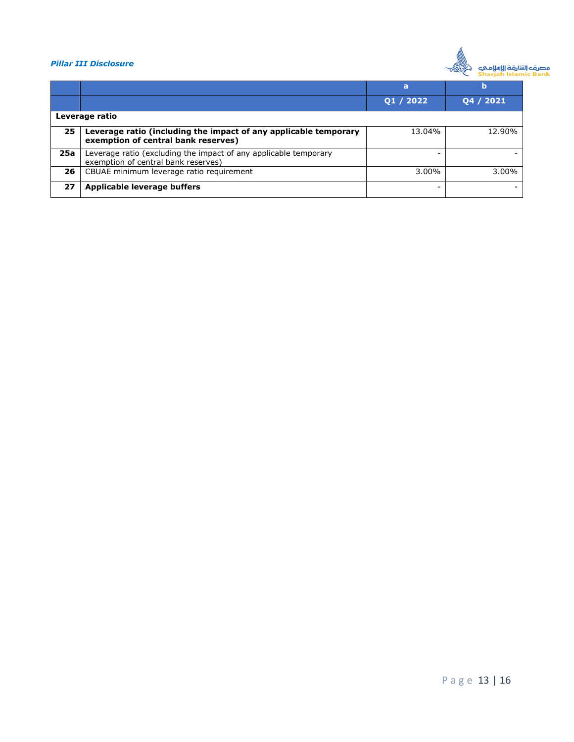

|     |                                                                                                         | a         | b         |
|-----|---------------------------------------------------------------------------------------------------------|-----------|-----------|
|     |                                                                                                         | Q1 / 2022 | Q4 / 2021 |
|     | Leverage ratio                                                                                          |           |           |
| 25  | Leverage ratio (including the impact of any applicable temporary<br>exemption of central bank reserves) | 13.04%    | 12.90%    |
| 25a | Leverage ratio (excluding the impact of any applicable temporary<br>exemption of central bank reserves) |           |           |
| 26  | CBUAE minimum leverage ratio requirement                                                                | 3.00%     | 3.00%     |
| 27  | Applicable leverage buffers                                                                             |           |           |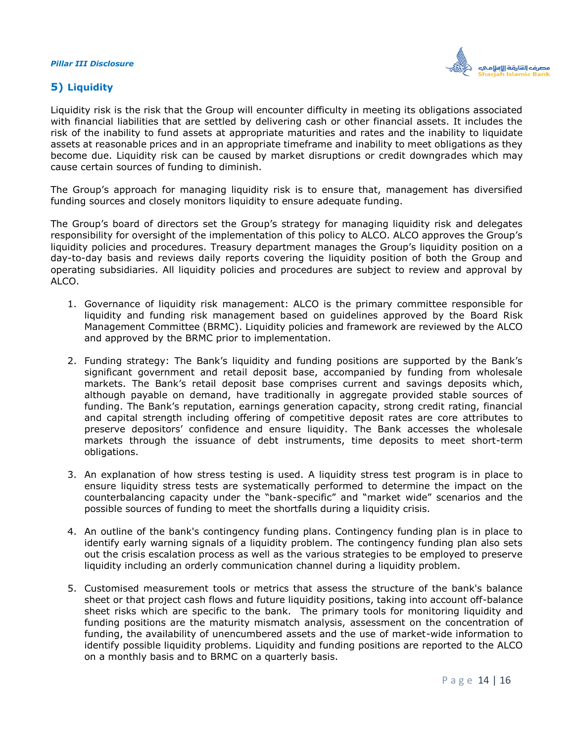

#### <span id="page-13-0"></span>**5) Liquidity**

Liquidity risk is the risk that the Group will encounter difficulty in meeting its obligations associated with financial liabilities that are settled by delivering cash or other financial assets. It includes the risk of the inability to fund assets at appropriate maturities and rates and the inability to liquidate assets at reasonable prices and in an appropriate timeframe and inability to meet obligations as they become due. Liquidity risk can be caused by market disruptions or credit downgrades which may cause certain sources of funding to diminish.

The Group's approach for managing liquidity risk is to ensure that, management has diversified funding sources and closely monitors liquidity to ensure adequate funding.

The Group's board of directors set the Group's strategy for managing liquidity risk and delegates responsibility for oversight of the implementation of this policy to ALCO. ALCO approves the Group's liquidity policies and procedures. Treasury department manages the Group's liquidity position on a day-to-day basis and reviews daily reports covering the liquidity position of both the Group and operating subsidiaries. All liquidity policies and procedures are subject to review and approval by ALCO.

- 1. Governance of liquidity risk management: ALCO is the primary committee responsible for liquidity and funding risk management based on guidelines approved by the Board Risk Management Committee (BRMC). Liquidity policies and framework are reviewed by the ALCO and approved by the BRMC prior to implementation.
- 2. Funding strategy: The Bank's liquidity and funding positions are supported by the Bank's significant government and retail deposit base, accompanied by funding from wholesale markets. The Bank's retail deposit base comprises current and savings deposits which, although payable on demand, have traditionally in aggregate provided stable sources of funding. The Bank's reputation, earnings generation capacity, strong credit rating, financial and capital strength including offering of competitive deposit rates are core attributes to preserve depositors' confidence and ensure liquidity. The Bank accesses the wholesale markets through the issuance of debt instruments, time deposits to meet short-term obligations.
- 3. An explanation of how stress testing is used. A liquidity stress test program is in place to ensure liquidity stress tests are systematically performed to determine the impact on the counterbalancing capacity under the "bank-specific" and "market wide" scenarios and the possible sources of funding to meet the shortfalls during a liquidity crisis.
- 4. An outline of the bank's contingency funding plans. Contingency funding plan is in place to identify early warning signals of a liquidity problem. The contingency funding plan also sets out the crisis escalation process as well as the various strategies to be employed to preserve liquidity including an orderly communication channel during a liquidity problem.
- 5. Customised measurement tools or metrics that assess the structure of the bank's balance sheet or that project cash flows and future liquidity positions, taking into account off-balance sheet risks which are specific to the bank. The primary tools for monitoring liquidity and funding positions are the maturity mismatch analysis, assessment on the concentration of funding, the availability of unencumbered assets and the use of market-wide information to identify possible liquidity problems. Liquidity and funding positions are reported to the ALCO on a monthly basis and to BRMC on a quarterly basis.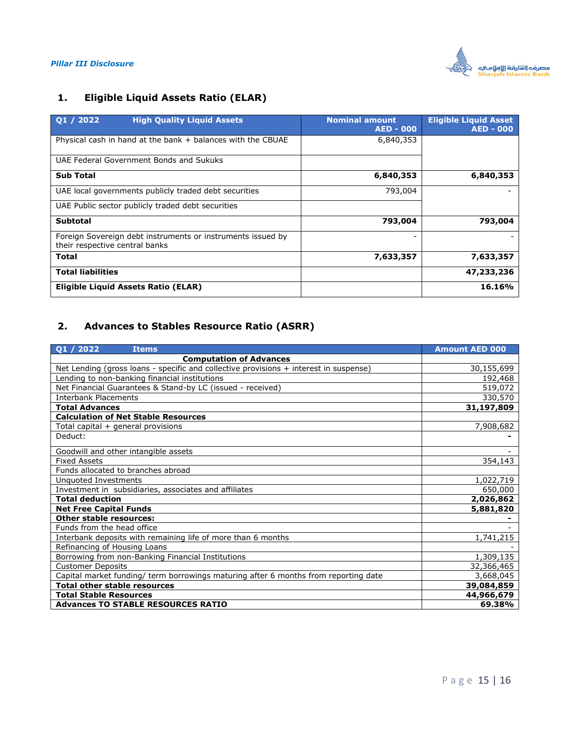

## **1. Eligible Liquid Assets Ratio (ELAR)**

| Q1 / 2022<br><b>High Quality Liquid Assets</b>                                                | <b>Nominal amount</b><br><b>AED - 000</b> | <b>Eligible Liquid Asset</b><br><b>AED - 000</b> |
|-----------------------------------------------------------------------------------------------|-------------------------------------------|--------------------------------------------------|
| Physical cash in hand at the bank $+$ balances with the CBUAE                                 | 6,840,353                                 |                                                  |
| UAE Federal Government Bonds and Sukuks                                                       |                                           |                                                  |
| <b>Sub Total</b>                                                                              | 6,840,353                                 | 6,840,353                                        |
| UAE local governments publicly traded debt securities                                         | 793,004                                   |                                                  |
| UAE Public sector publicly traded debt securities                                             |                                           |                                                  |
| <b>Subtotal</b>                                                                               | 793,004                                   | 793,004                                          |
| Foreign Sovereign debt instruments or instruments issued by<br>their respective central banks |                                           |                                                  |
| <b>Total</b>                                                                                  | 7,633,357                                 | 7,633,357                                        |
| <b>Total liabilities</b>                                                                      |                                           | 47,233,236                                       |
| Eligible Liguid Assets Ratio (ELAR)                                                           |                                           | 16.16%                                           |

## **2. Advances to Stables Resource Ratio (ASRR)**

| Q1 / 2022<br><b>Items</b>                                                             | <b>Amount AED 000</b> |
|---------------------------------------------------------------------------------------|-----------------------|
| <b>Computation of Advances</b>                                                        |                       |
| Net Lending (gross loans - specific and collective provisions + interest in suspense) | 30,155,699            |
| Lending to non-banking financial institutions                                         | 192,468               |
| Net Financial Guarantees & Stand-by LC (issued - received)                            | 519,072               |
| <b>Interbank Placements</b>                                                           | 330,570               |
| <b>Total Advances</b>                                                                 | 31,197,809            |
| <b>Calculation of Net Stable Resources</b>                                            |                       |
| Total capital + general provisions                                                    | 7,908,682             |
| Deduct:                                                                               |                       |
| Goodwill and other intangible assets                                                  |                       |
| <b>Fixed Assets</b>                                                                   | 354,143               |
| Funds allocated to branches abroad                                                    |                       |
| Unquoted Investments                                                                  | 1,022,719             |
| Investment in subsidiaries, associates and affiliates                                 | 650,000               |
| <b>Total deduction</b>                                                                | 2,026,862             |
| <b>Net Free Capital Funds</b>                                                         | 5,881,820             |
| <b>Other stable resources:</b>                                                        |                       |
| Funds from the head office                                                            |                       |
| Interbank deposits with remaining life of more than 6 months                          | 1,741,215             |
| Refinancing of Housing Loans                                                          |                       |
| Borrowing from non-Banking Financial Institutions                                     | 1,309,135             |
| <b>Customer Deposits</b>                                                              | 32,366,465            |
| Capital market funding/ term borrowings maturing after 6 months from reporting date   | 3,668,045             |
| <b>Total other stable resources</b>                                                   | 39,084,859            |
| <b>Total Stable Resources</b>                                                         | 44,966,679            |
| <b>Advances TO STABLE RESOURCES RATIO</b>                                             | 69.38%                |